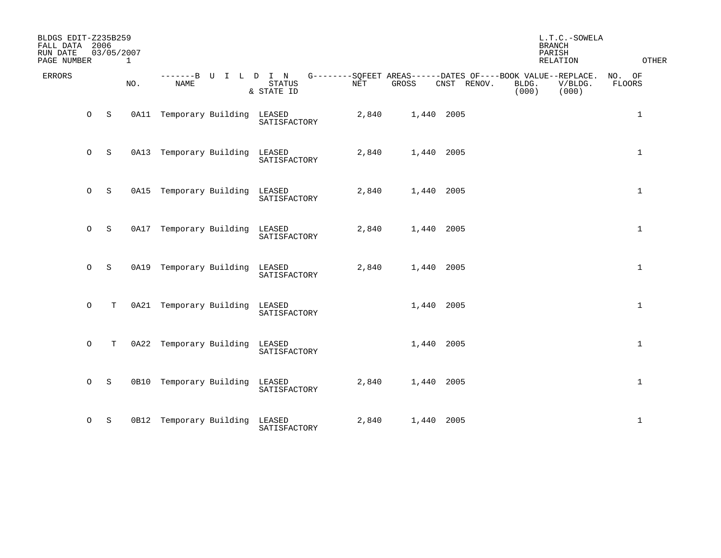| BLDGS EDIT-Z235B259<br>FALL DATA 2006<br>RUN DATE<br>PAGE NUMBER |         | 03/05/2007  | $\mathbf{1}$ |                                |                                                                                                                 |       |            |             | <b>BRANCH</b>  | L.T.C.-SOWELA<br>PARISH<br><b>RELATION</b> | OTHER            |
|------------------------------------------------------------------|---------|-------------|--------------|--------------------------------|-----------------------------------------------------------------------------------------------------------------|-------|------------|-------------|----------------|--------------------------------------------|------------------|
| <b>ERRORS</b>                                                    |         |             | NO.          | <b>NAME</b>                    | -------B U I L D I N G--------SQFEET AREAS------DATES OF----BOOK VALUE--REPLACE.<br><b>STATUS</b><br>& STATE ID | NET   | GROSS      | CNST RENOV. | BLDG.<br>(000) | V/BLDG.<br>(000)                           | NO. OF<br>FLOORS |
|                                                                  | $\circ$ | S           |              | 0A11 Temporary Building LEASED | SATISFACTORY                                                                                                    | 2,840 | 1,440 2005 |             |                |                                            | $\mathbf{1}$     |
|                                                                  | $\circ$ | S           |              | 0A13 Temporary Building LEASED | SATISFACTORY                                                                                                    | 2,840 | 1,440 2005 |             |                |                                            | $\mathbf{1}$     |
|                                                                  | $\circ$ | S           |              | 0A15 Temporary Building LEASED | SATISFACTORY                                                                                                    | 2,840 | 1,440 2005 |             |                |                                            | $\mathbf{1}$     |
|                                                                  | $\circ$ | S           |              | 0A17 Temporary Building LEASED | SATISFACTORY                                                                                                    | 2,840 | 1,440 2005 |             |                |                                            | $\mathbf{1}$     |
|                                                                  | $\circ$ | $\mathbf S$ |              | 0A19 Temporary Building LEASED | SATISFACTORY                                                                                                    | 2,840 | 1,440 2005 |             |                |                                            | $\mathbf{1}$     |
|                                                                  | $\circ$ | T.          |              | 0A21 Temporary Building LEASED | SATISFACTORY                                                                                                    |       | 1,440 2005 |             |                |                                            | $\mathbf{1}$     |
|                                                                  | $\circ$ | $\mathbf T$ |              | 0A22 Temporary Building LEASED | SATISFACTORY                                                                                                    |       | 1,440 2005 |             |                |                                            | $\mathbf{1}$     |
|                                                                  | $\circ$ | S           |              | 0B10 Temporary Building LEASED | SATISFACTORY                                                                                                    | 2,840 | 1,440 2005 |             |                |                                            | $\mathbf{1}$     |
|                                                                  | $\circ$ | S           |              | 0B12 Temporary Building LEASED | SATISFACTORY                                                                                                    | 2,840 | 1,440 2005 |             |                |                                            | $\mathbf{1}$     |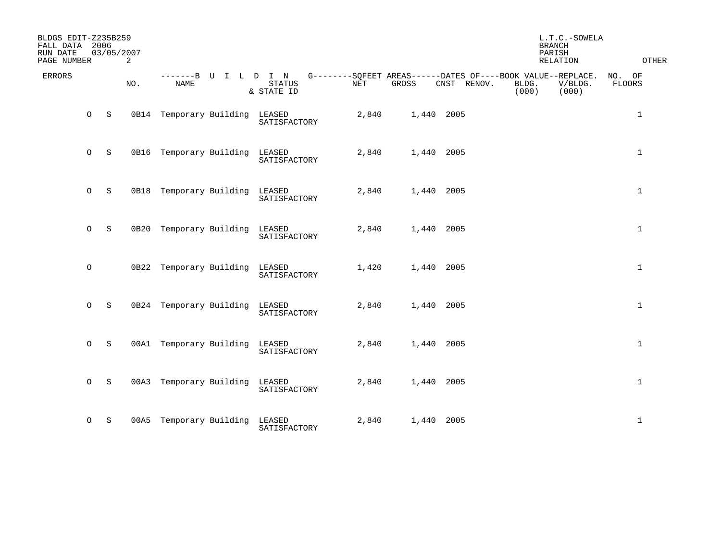| BLDGS EDIT-Z235B259<br>FALL DATA 2006<br>RUN DATE<br>PAGE NUMBER |         | 03/05/2007 | 2   |                                |                                                                                                                 |       |            |             | <b>BRANCH</b><br>PARISH | L.T.C.-SOWELA<br>RELATION | OTHER            |
|------------------------------------------------------------------|---------|------------|-----|--------------------------------|-----------------------------------------------------------------------------------------------------------------|-------|------------|-------------|-------------------------|---------------------------|------------------|
| <b>ERRORS</b>                                                    |         |            | NO. | <b>NAME</b>                    | -------B U I L D I N G--------SQFEET AREAS------DATES OF----BOOK VALUE--REPLACE.<br><b>STATUS</b><br>& STATE ID | NET   | GROSS      | CNST RENOV. | BLDG.<br>(000)          | V/BLDG.<br>(000)          | NO. OF<br>FLOORS |
|                                                                  | $\circ$ | S          |     | 0B14 Temporary Building LEASED | SATISFACTORY                                                                                                    | 2,840 | 1,440 2005 |             |                         |                           | $\mathbf{1}$     |
|                                                                  | $\circ$ | S          |     | 0B16 Temporary Building LEASED | SATISFACTORY                                                                                                    | 2,840 | 1,440 2005 |             |                         |                           | $\mathbf{1}$     |
|                                                                  | $\circ$ | S          |     | 0B18 Temporary Building        | LEASED<br>SATISFACTORY                                                                                          | 2,840 | 1,440 2005 |             |                         |                           | $\mathbf{1}$     |
|                                                                  | $\circ$ | S          |     | 0B20 Temporary Building LEASED | SATISFACTORY                                                                                                    | 2,840 | 1,440 2005 |             |                         |                           | $\mathbf{1}$     |
|                                                                  | $\circ$ |            |     | 0B22 Temporary Building LEASED | SATISFACTORY                                                                                                    | 1,420 | 1,440 2005 |             |                         |                           | $\mathbf{1}$     |
|                                                                  | $\circ$ | S          |     | 0B24 Temporary Building LEASED | SATISFACTORY                                                                                                    | 2,840 | 1,440 2005 |             |                         |                           | $\mathbf{1}$     |
|                                                                  | $\circ$ | S          |     | 00A1 Temporary Building LEASED | SATISFACTORY                                                                                                    | 2,840 | 1,440 2005 |             |                         |                           | $\mathbf{1}$     |
|                                                                  | $O_S$   |            |     | 00A3 Temporary Building        | LEASED<br>SATISFACTORY                                                                                          | 2,840 | 1,440 2005 |             |                         |                           | $\mathbf{1}$     |
|                                                                  | $\circ$ | S          |     | 00A5 Temporary Building LEASED | SATISFACTORY                                                                                                    | 2,840 | 1,440 2005 |             |                         |                           | $\mathbf{1}$     |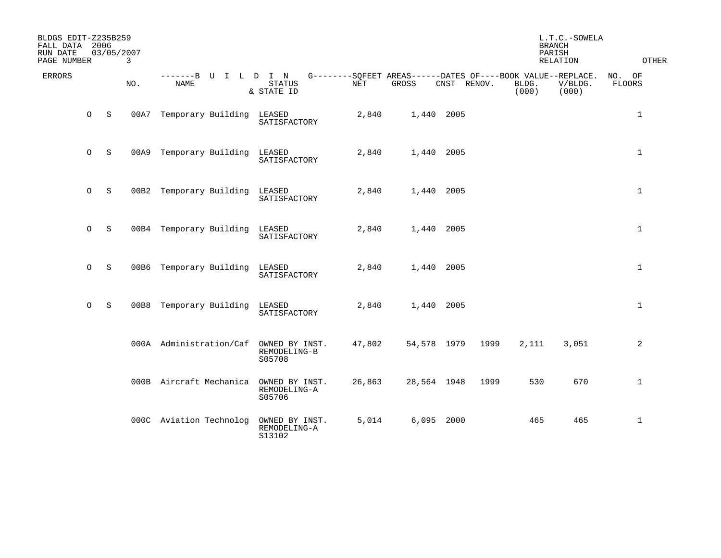| BLDGS EDIT-Z235B259<br>FALL DATA 2006<br>RUN DATE<br>PAGE NUMBER |             | 03/05/2007<br>3 |                         |                                          |        |             |             | L.T.C.-SOWELA<br><b>BRANCH</b><br>PARISH<br>RELATION                          | <b>OTHER</b>     |                  |
|------------------------------------------------------------------|-------------|-----------------|-------------------------|------------------------------------------|--------|-------------|-------------|-------------------------------------------------------------------------------|------------------|------------------|
| <b>ERRORS</b>                                                    |             | NO.             | -------B U<br>NAME      | ILDIN<br>STATUS<br>& STATE ID            | NET    | GROSS       | CNST RENOV. | G--------SQFEET AREAS------DATES OF----BOOK VALUE--REPLACE.<br>BLDG.<br>(000) | V/BLDG.<br>(000) | NO. OF<br>FLOORS |
| $\circ$                                                          | S           | 00A7            | Temporary Building      | LEASED<br>SATISFACTORY                   | 2,840  | 1,440 2005  |             |                                                                               |                  | $\mathbf{1}$     |
| $\circ$                                                          | S           | 00A9            | Temporary Building      | LEASED<br>SATISFACTORY                   | 2,840  | 1,440 2005  |             |                                                                               |                  | $\mathbf{1}$     |
| $\circ$                                                          | S           | 00B2            | Temporary Building      | LEASED<br>SATISFACTORY                   | 2,840  | 1,440 2005  |             |                                                                               |                  | $\mathbf 1$      |
| $\circ$                                                          | $\mathbf S$ |                 | 00B4 Temporary Building | LEASED<br>SATISFACTORY                   | 2,840  | 1,440       | 2005        |                                                                               |                  | $\mathbf{1}$     |
| $\circ$                                                          | S           | 00B6            | Temporary Building      | LEASED<br>SATISFACTORY                   | 2,840  | 1,440 2005  |             |                                                                               |                  | $\mathbf 1$      |
| $\circ$                                                          | $\mathbf S$ | 00B8            | Temporary Building      | LEASED<br>SATISFACTORY                   | 2,840  | 1,440       | 2005        |                                                                               |                  | $\mathbf 1$      |
|                                                                  |             |                 | 000A Administration/Caf | OWNED BY INST.<br>REMODELING-B<br>S05708 | 47,802 | 54,578 1979 |             | 1999<br>2,111                                                                 | 3,051            | $\overline{a}$   |
|                                                                  |             |                 | 000B Aircraft Mechanica | OWNED BY INST.<br>REMODELING-A<br>S05706 | 26,863 | 28,564 1948 |             | 530<br>1999                                                                   | 670              | $\mathbf{1}$     |
|                                                                  |             |                 | 000C Aviation Technolog | OWNED BY INST.<br>REMODELING-A<br>S13102 | 5,014  | 6,095 2000  |             | 465                                                                           | 465              | $\mathbf{1}$     |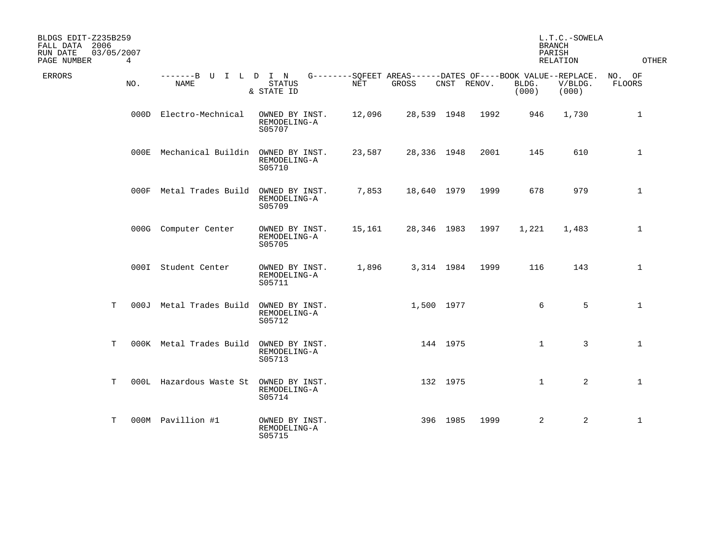| BLDGS EDIT-Z235B259<br>FALL DATA 2006<br>03/05/2007<br>RUN DATE<br>PAGE NUMBER | $\overline{4}$ |                              |                                          |        |                                                                      |             |      |                | L.T.C.-SOWELA<br><b>BRANCH</b><br>PARISH<br>RELATION | OTHER                   |
|--------------------------------------------------------------------------------|----------------|------------------------------|------------------------------------------|--------|----------------------------------------------------------------------|-------------|------|----------------|------------------------------------------------------|-------------------------|
| <b>ERRORS</b>                                                                  | NO.            | -------B U I L D I N<br>NAME | STATUS<br>& STATE ID                     | NET    | G--------SOFEET AREAS------DATES OF----BOOK VALUE--REPLACE.<br>GROSS | CNST RENOV. |      | BLDG.<br>(000) | V/BLDG.<br>(000)                                     | NO. OF<br><b>FLOORS</b> |
|                                                                                |                | 000D Electro-Mechnical       | OWNED BY INST.<br>REMODELING-A<br>S05707 | 12,096 | 28,539 1948                                                          |             | 1992 | 946            | 1,730                                                | $\mathbf 1$             |
|                                                                                |                | 000E Mechanical Buildin      | OWNED BY INST.<br>REMODELING-A<br>S05710 | 23,587 | 28,336 1948                                                          |             | 2001 | 145            | 610                                                  | $\mathbf{1}$            |
|                                                                                |                | 000F Metal Trades Build      | OWNED BY INST.<br>REMODELING-A<br>S05709 | 7,853  | 18,640 1979                                                          |             | 1999 | 678            | 979                                                  | $\mathbf{1}$            |
|                                                                                |                | 000G Computer Center         | OWNED BY INST.<br>REMODELING-A<br>S05705 | 15,161 | 28,346 1983                                                          |             | 1997 | 1,221          | 1,483                                                | $\mathbf 1$             |
|                                                                                |                | 000I Student Center          | OWNED BY INST.<br>REMODELING-A<br>S05711 | 1,896  |                                                                      | 3,314 1984  | 1999 | 116            | 143                                                  | $\mathbf{1}$            |
| T.                                                                             |                | 000J Metal Trades Build      | OWNED BY INST.<br>REMODELING-A<br>S05712 |        | 1,500 1977                                                           |             |      | 6              | 5                                                    | $\mathbf{1}$            |
| T                                                                              |                | 000K Metal Trades Build      | OWNED BY INST.<br>REMODELING-A<br>S05713 |        |                                                                      | 144 1975    |      | $\mathbf{1}$   | 3                                                    | $\mathbf{1}$            |
| T                                                                              |                | 000L Hazardous Waste St      | OWNED BY INST.<br>REMODELING-A<br>S05714 |        |                                                                      | 132 1975    |      | $\mathbf{1}$   | $\overline{a}$                                       | $\mathbf{1}$            |
| т                                                                              |                | 000M Pavillion #1            | OWNED BY INST.<br>REMODELING-A<br>S05715 |        |                                                                      | 396 1985    | 1999 | $\overline{a}$ | 2                                                    | $\mathbf 1$             |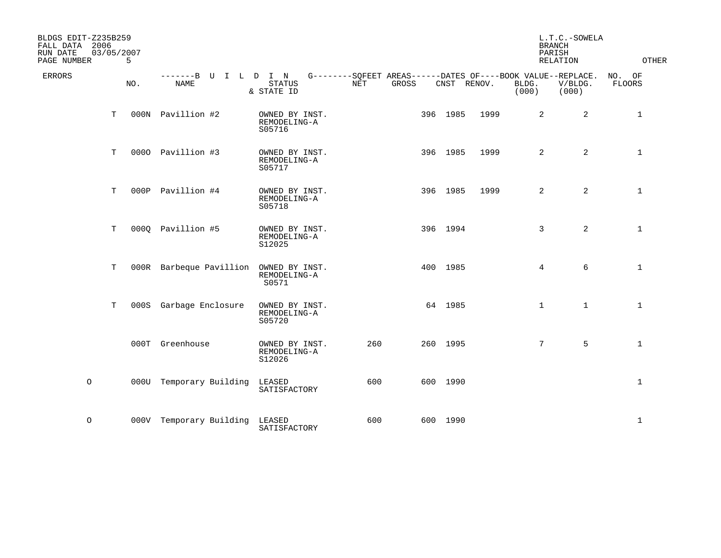| BLDGS EDIT-Z235B259<br>FALL DATA 2006<br>RUN DATE<br>PAGE NUMBER | 03/05/2007<br>5 |                                        |                                          |     |       |          |             | L.T.C.-SOWELA<br><b>BRANCH</b><br>PARISH<br><b>RELATION</b> | <b>OTHER</b>                                                                    |                         |
|------------------------------------------------------------------|-----------------|----------------------------------------|------------------------------------------|-----|-------|----------|-------------|-------------------------------------------------------------|---------------------------------------------------------------------------------|-------------------------|
| ERRORS                                                           | NO.             | -------B U I L D I N<br><b>NAME</b>    | STATUS<br>& STATE ID                     | NET | GROSS |          | CNST RENOV. | BLDG.<br>(000)                                              | G--------SQFEET AREAS------DATES OF----BOOK VALUE--REPLACE.<br>V/BLDG.<br>(000) | NO. OF<br><b>FLOORS</b> |
|                                                                  | T               | 000N Pavillion #2                      | OWNED BY INST.<br>REMODELING-A<br>S05716 |     |       | 396 1985 | 1999        | $\overline{2}$                                              | 2                                                                               | $\mathbf{1}$            |
|                                                                  | $\mathbf T$     | 0000 Pavillion #3                      | OWNED BY INST.<br>REMODELING-A<br>S05717 |     |       | 396 1985 | 1999        | $\overline{a}$                                              | 2                                                                               | $\mathbf{1}$            |
|                                                                  | T               | 000P Pavillion #4                      | OWNED BY INST.<br>REMODELING-A<br>S05718 |     |       | 396 1985 | 1999        | $\overline{2}$                                              | $\overline{2}$                                                                  | $\mathbf{1}$            |
|                                                                  | T               | 0000 Pavillion #5                      | OWNED BY INST.<br>REMODELING-A<br>S12025 |     |       | 396 1994 |             | $\mathbf{3}$                                                | $\overline{2}$                                                                  | $\mathbf{1}$            |
|                                                                  | T               | 000R Barbeque Pavillion OWNED BY INST. | REMODELING-A<br>S0571                    |     |       | 400 1985 |             | $\overline{4}$                                              | 6                                                                               | $\mathbf{1}$            |
|                                                                  | T               | 000S Garbage Enclosure                 | OWNED BY INST.<br>REMODELING-A<br>S05720 |     |       | 64 1985  |             | $\mathbf{1}$                                                | $\mathbf{1}$                                                                    | $\mathbf{1}$            |
|                                                                  |                 | 000T Greenhouse                        | OWNED BY INST.<br>REMODELING-A<br>S12026 | 260 |       | 260 1995 |             | $7^{\circ}$                                                 | 5                                                                               | $\mathbf{1}$            |
| $\circ$                                                          |                 | 000U Temporary Building                | LEASED<br>SATISFACTORY                   | 600 |       | 600 1990 |             |                                                             |                                                                                 | $\mathbf{1}$            |
| $\circ$                                                          |                 | 000V Temporary Building LEASED         | SATISFACTORY                             | 600 |       | 600 1990 |             |                                                             |                                                                                 | $\mathbf{1}$            |